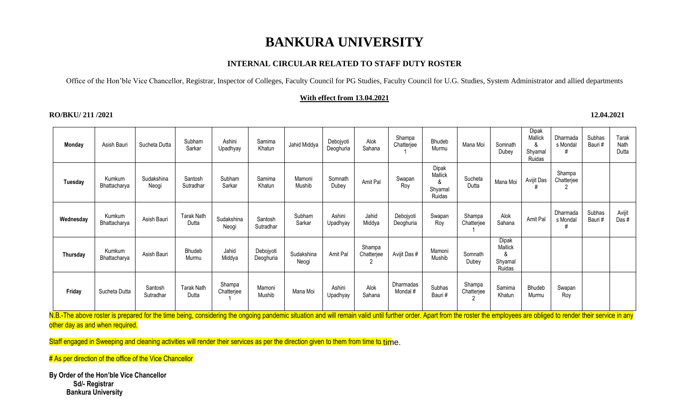### **INTERNAL CIRCULAR RELATED TO STAFF DUTY ROSTER**

Office of the Hon'ble Vice Chancellor, Registrar, Inspector of Colleges, Faculty Council for PG Studies, Faculty Council for U.G. Studies, System Administrator and allied departments

### **With effect from 13.04.2021**

### **RO/BKU/ 211 /2021 12.04.2021**

| Monday                                                                                                                                                                                                                     | Asish Bauri            | Sucheta Dutta        | Subham<br>Sarkar           | Ashini<br>Upadhyay   | Samima<br>Khatun       | Jahid Middya        | Debojyoti<br>Deoghuria | Alok<br>Sahana       | Shampa<br>Chatterjee   | Bhudeb<br>Murmu                            | Mana Moi             | Somnath<br>Dubey                           | Dipak<br>Mallick<br>&<br>Shyamal<br>Ruidas | Dharmada<br>s Mondal | Subhas<br>Bauri# | Tarak<br>Nath<br>Dutta |
|----------------------------------------------------------------------------------------------------------------------------------------------------------------------------------------------------------------------------|------------------------|----------------------|----------------------------|----------------------|------------------------|---------------------|------------------------|----------------------|------------------------|--------------------------------------------|----------------------|--------------------------------------------|--------------------------------------------|----------------------|------------------|------------------------|
| Tuesday                                                                                                                                                                                                                    | Kumkum<br>Bhattacharya | Sudakshina<br>Neogi  | Santosh<br>Sutradhar       | Subham<br>Sarkar     | Samima<br>Khatun       | Mamoni<br>Mushib    | Somnath<br>Dubey       | Amit Pal             | Swapan<br>Roy          | Dipak<br>Mallick<br>&<br>Shyamal<br>Ruidas | Sucheta<br>Dutta     | Mana Moi                                   | Avijit Das                                 | Shampa<br>Chatterjee |                  |                        |
| Wednesday                                                                                                                                                                                                                  | Kumkum<br>Bhattacharya | Asish Bauri          | <b>Tarak Nath</b><br>Dutta | Sudakshina<br>Neogi  | Santosh<br>Sutradhar   | Subham<br>Sarkar    | Ashini<br>Upadhyay     | Jahid<br>Middya      | Debojyoti<br>Deoghuria | Swapan<br>Roy                              | Shampa<br>Chatterjee | Alok<br>Sahana                             | Amit Pal                                   | Dharmada<br>s Mondal | Subhas<br>Bauri# | Avijit<br>Das #        |
| Thursday                                                                                                                                                                                                                   | Kumkum<br>Bhattacharya | Asish Bauri          | Bhudeb<br>Murmu            | Jahid<br>Middya      | Debojyoti<br>Deoghuria | Sudakshina<br>Neogi | Amit Pal               | Shampa<br>Chatterjee | Avijit Das #           | Mamoni<br>Mushib                           | Somnath<br>Dubey     | Dipak<br>Mallick<br>ጼ<br>Shyamal<br>Ruidas |                                            |                      |                  |                        |
| Friday                                                                                                                                                                                                                     | Sucheta Dutta          | Santosh<br>Sutradhar | <b>Tarak Nath</b><br>Dutta | Shampa<br>Chatterjee | Mamoni<br>Mushib       | Mana Moi            | Ashini<br>Upadhyay     | Alok<br>Sahana       | Dharmadas<br>Mondal #  | Subhas<br>Bauri#                           | Shampa<br>Chatterjee | Samima<br>Khatun                           | Bhudeb<br>Murmu                            | Swapan<br>Roy        |                  |                        |
| N.B.-The above roster is prepared for the time being, considering the ongoing pandemic situation and will remain valid until further order. Apart from the roster the employees are obliged to render their service in any |                        |                      |                            |                      |                        |                     |                        |                      |                        |                                            |                      |                                            |                                            |                      |                  |                        |

other day as and when required.

Staff engaged in Sweeping and cleaning activities will render their services as per the direction given to them from time to time.

# As per direction of the office of the Vice Chancellor

**By Order of the Hon'ble Vice Chancellor Sd/- Registrar Bankura University**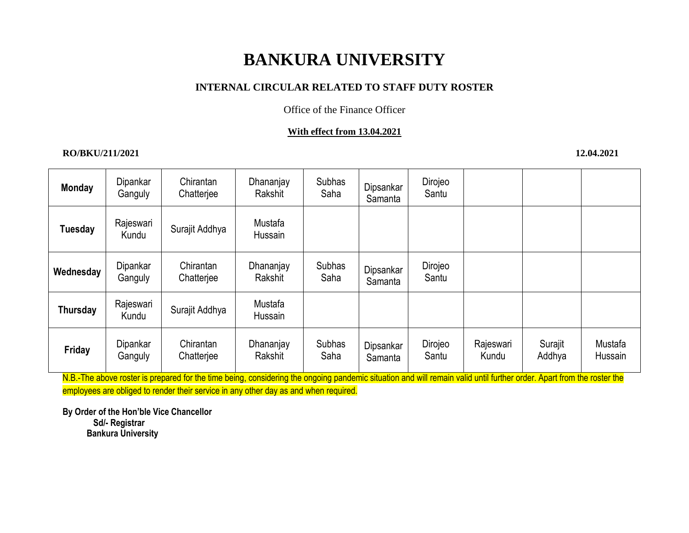### **INTERNAL CIRCULAR RELATED TO STAFF DUTY ROSTER**

Office of the Finance Officer

### **With effect from 13.04.2021**

### **RO/BKU/211/2021 12.04.2021**

| <b>Monday</b>  | Dipankar<br>Ganguly | Chirantan<br>Chatterjee | Dhananjay<br>Rakshit | <b>Subhas</b><br>Saha | Dipsankar<br>Samanta | Dirojeo<br>Santu |                    |                   |                    |
|----------------|---------------------|-------------------------|----------------------|-----------------------|----------------------|------------------|--------------------|-------------------|--------------------|
| <b>Tuesday</b> | Rajeswari<br>Kundu  | Surajit Addhya          | Mustafa<br>Hussain   |                       |                      |                  |                    |                   |                    |
| Wednesday      | Dipankar<br>Ganguly | Chirantan<br>Chatterjee | Dhananjay<br>Rakshit | <b>Subhas</b><br>Saha | Dipsankar<br>Samanta | Dirojeo<br>Santu |                    |                   |                    |
| Thursday       | Rajeswari<br>Kundu  | Surajit Addhya          | Mustafa<br>Hussain   |                       |                      |                  |                    |                   |                    |
| Friday         | Dipankar<br>Ganguly | Chirantan<br>Chatterjee | Dhananjay<br>Rakshit | <b>Subhas</b><br>Saha | Dipsankar<br>Samanta | Dirojeo<br>Santu | Rajeswari<br>Kundu | Surajit<br>Addhya | Mustafa<br>Hussain |

N.B.-The above roster is prepared for the time being, considering the ongoing pandemic situation and will remain valid until further order. Apart from the roster the employees are obliged to render their service in any other day as and when required.

**By Order of the Hon'ble Vice Chancellor Sd/- Registrar Bankura University**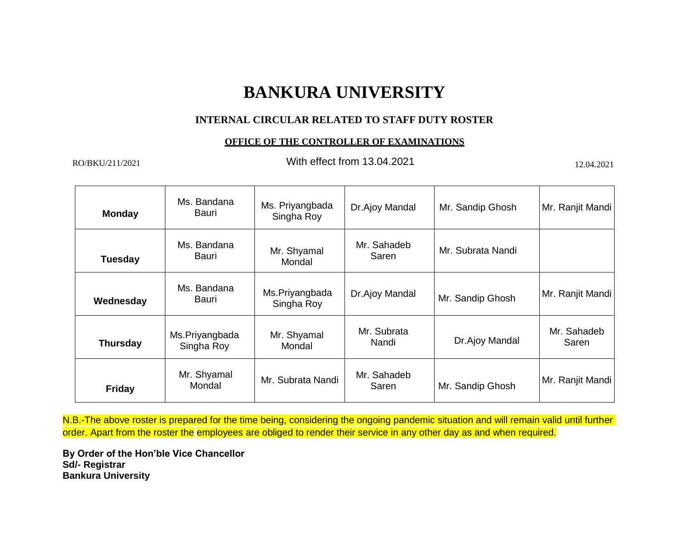### **INTERNAL CIRCULAR RELATED TO STAFF DUTY ROSTER**

#### **OFFICE OF THE CONTROLLER OF EXAMINATIONS**

RO/BKU/211/2021 **RO/BKU/211/2021 RO/BKU/211/2021 RO** With effect from 13.04.2021

| <b>Monday</b>   | Ms. Bandana<br>Bauri         | Ms. Priyangbada<br>Singha Roy | Dr.Ajoy Mandal       | Mr. Sandip Ghosh  | Mr. Ranjit Mandi     |
|-----------------|------------------------------|-------------------------------|----------------------|-------------------|----------------------|
| <b>Tuesday</b>  | Ms. Bandana<br>Bauri         | Mr. Shyamal<br>Mondal         | Mr. Sahadeb<br>Saren | Mr. Subrata Nandi |                      |
| Wednesday       | Ms. Bandana<br>Bauri         | Ms.Priyangbada<br>Singha Roy  | Dr.Ajoy Mandal       | Mr. Sandip Ghosh  | Mr. Ranjit Mandi     |
| <b>Thursday</b> | Ms.Priyangbada<br>Singha Roy | Mr. Shyamal<br>Mondal         | Mr. Subrata<br>Nandi | Dr.Ajoy Mandal    | Mr. Sahadeb<br>Saren |
| <b>Friday</b>   | Mr. Shyamal<br>Mondal        | Mr. Subrata Nandi             | Mr. Sahadeb<br>Saren | Mr. Sandip Ghosh  | Mr. Ranjit Mandi     |

N.B.-The above roster is prepared for the time being, considering the ongoing pandemic situation and will remain valid until further order. Apart from the roster the employees are obliged to render their service in any other day as and when required.

**By Order of the Hon'ble Vice Chancellor Sd/- Registrar Bankura University**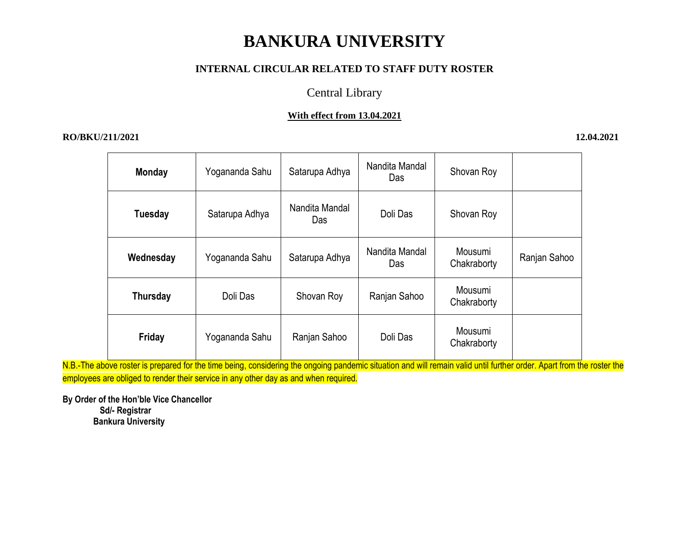### **INTERNAL CIRCULAR RELATED TO STAFF DUTY ROSTER**

### Central Library

### **With effect from 13.04.2021**

### **RO/BKU/211/2021 12.04.2021**

| <b>Monday</b> | Yogananda Sahu | Satarupa Adhya        | Nandita Mandal<br>Das | Shovan Roy             |              |
|---------------|----------------|-----------------------|-----------------------|------------------------|--------------|
| Tuesday       | Satarupa Adhya | Nandita Mandal<br>Das | Doli Das              | Shovan Roy             |              |
| Wednesday     | Yogananda Sahu | Satarupa Adhya        | Nandita Mandal<br>Das | Mousumi<br>Chakraborty | Ranjan Sahoo |
| Thursday      | Doli Das       | Shovan Roy            | Ranjan Sahoo          | Mousumi<br>Chakraborty |              |
| Friday        | Yogananda Sahu | Ranjan Sahoo          | Doli Das              | Mousumi<br>Chakraborty |              |

N.B.-The above roster is prepared for the time being, considering the ongoing pandemic situation and will remain valid until further order. Apart from the roster the employees are obliged to render their service in any other day as and when required.

**By Order of the Hon'ble Vice Chancellor Sd/- Registrar Bankura University**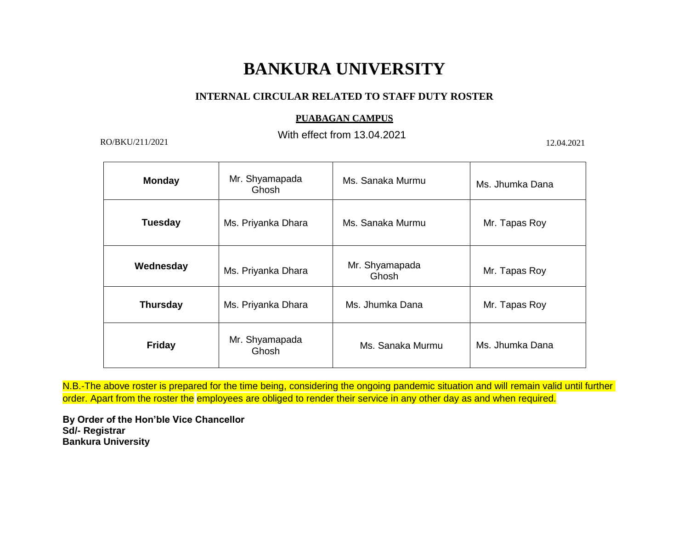### **INTERNAL CIRCULAR RELATED TO STAFF DUTY ROSTER**

#### **PUABAGAN CAMPUS**

With effect from 13.04.2021 RO/BKU/211/2021 12.04.2021 12.04.2021

| <b>Monday</b>   | Mr. Shyamapada<br>Ghosh | Ms. Sanaka Murmu        | Ms. Jhumka Dana |  |
|-----------------|-------------------------|-------------------------|-----------------|--|
| <b>Tuesday</b>  | Ms. Priyanka Dhara      | Ms. Sanaka Murmu        | Mr. Tapas Roy   |  |
| Wednesday       | Ms. Priyanka Dhara      | Mr. Shyamapada<br>Ghosh | Mr. Tapas Roy   |  |
| <b>Thursday</b> | Ms. Priyanka Dhara      | Ms. Jhumka Dana         | Mr. Tapas Roy   |  |
| <b>Friday</b>   | Mr. Shyamapada<br>Ghosh | Ms. Sanaka Murmu        | Ms. Jhumka Dana |  |

N.B.-The above roster is prepared for the time being, considering the ongoing pandemic situation and will remain valid until further order. Apart from the roster the employees are obliged to render their service in any other day as and when required.

**By Order of the Hon'ble Vice Chancellor Sd/- Registrar Bankura University**